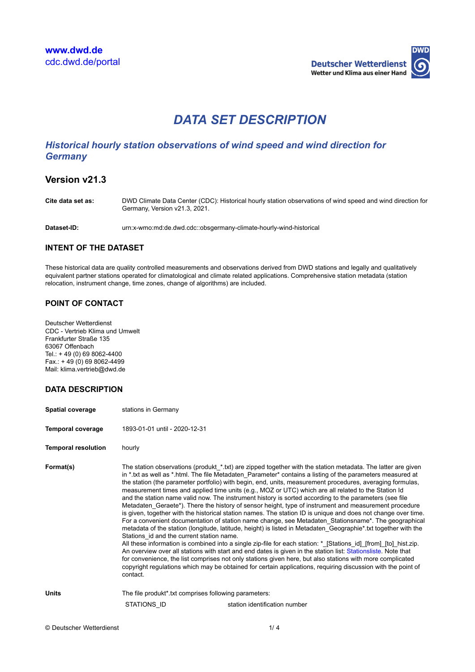

# *DATA SET DESCRIPTION*

# *Historical hourly station observations of wind speed and wind direction for Germany*

# **Version v21.3**

**Cite data set as:** DWD Climate Data Center (CDC): Historical hourly station observations of wind speed and wind direction for Germany, Version v21.3, 2021.

**Dataset-ID:** urn:x-wmo:md:de.dwd.cdc::obsgermany-climate-hourly-wind-historical

## **INTENT OF THE DATASET**

These historical data are quality controlled measurements and observations derived from DWD stations and legally and qualitatively equivalent partner stations operated for climatological and climate related applications. Comprehensive station metadata (station relocation, instrument change, time zones, change of algorithms) are included.

## **POINT OF CONTACT**

Deutscher Wetterdienst CDC - Vertrieb Klima und Umwelt Frankfurter Straße 135 63067 Offenbach Tel.: + 49 (0) 69 8062-4400  $Fax.: +49(0)698062-4499$ Mail: klima.vertrieb@dwd.de

# **DATA DESCRIPTION**

| <b>Spatial coverage</b>    | stations in Germany                                               |                                                                                                                                                                                                                                                                                                                                                                                                                                                                                                                                                                                                                                                                                                                                                                                                                                                                                                                                                                                                                                                                                                                                                                                                                                                                                                                                                                                                                                                                                |  |
|----------------------------|-------------------------------------------------------------------|--------------------------------------------------------------------------------------------------------------------------------------------------------------------------------------------------------------------------------------------------------------------------------------------------------------------------------------------------------------------------------------------------------------------------------------------------------------------------------------------------------------------------------------------------------------------------------------------------------------------------------------------------------------------------------------------------------------------------------------------------------------------------------------------------------------------------------------------------------------------------------------------------------------------------------------------------------------------------------------------------------------------------------------------------------------------------------------------------------------------------------------------------------------------------------------------------------------------------------------------------------------------------------------------------------------------------------------------------------------------------------------------------------------------------------------------------------------------------------|--|
| <b>Temporal coverage</b>   | 1893-01-01 until - 2020-12-31                                     |                                                                                                                                                                                                                                                                                                                                                                                                                                                                                                                                                                                                                                                                                                                                                                                                                                                                                                                                                                                                                                                                                                                                                                                                                                                                                                                                                                                                                                                                                |  |
| <b>Temporal resolution</b> | hourly                                                            |                                                                                                                                                                                                                                                                                                                                                                                                                                                                                                                                                                                                                                                                                                                                                                                                                                                                                                                                                                                                                                                                                                                                                                                                                                                                                                                                                                                                                                                                                |  |
| Format(s)                  | Stations id and the current station name.<br>contact.             | The station observations (produkt *.txt) are zipped together with the station metadata. The latter are given<br>in * txt as well as * html. The file Metadaten Parameter* contains a listing of the parameters measured at<br>the station (the parameter portfolio) with begin, end, units, measurement procedures, averaging formulas,<br>measurement times and applied time units (e.g., MOZ or UTC) which are all related to the Station Id<br>and the station name valid now. The instrument history is sorted according to the parameters (see file<br>Metadaten_Geraete*). There the history of sensor height, type of instrument and measurement procedure<br>is given, together with the historical station names. The station ID is unique and does not change over time.<br>For a convenient documentation of station name change, see Metadaten Stationsname*. The geographical<br>metadata of the station (longitude, latitude, height) is listed in Metadaten Geographie*.txt together with the<br>All these information is combined into a single zip-file for each station: * [Stations id] [from] [to] hist zip.<br>An overview over all stations with start and end dates is given in the station list: Stationsliste. Note that<br>for convenience, the list comprises not only stations given here, but also stations with more complicated<br>copyright regulations which may be obtained for certain applications, requiring discussion with the point of |  |
| <b>Units</b>               | The file produkt <sup>*</sup> txt comprises following parameters: |                                                                                                                                                                                                                                                                                                                                                                                                                                                                                                                                                                                                                                                                                                                                                                                                                                                                                                                                                                                                                                                                                                                                                                                                                                                                                                                                                                                                                                                                                |  |
|                            | STATIONS ID                                                       | station identification number                                                                                                                                                                                                                                                                                                                                                                                                                                                                                                                                                                                                                                                                                                                                                                                                                                                                                                                                                                                                                                                                                                                                                                                                                                                                                                                                                                                                                                                  |  |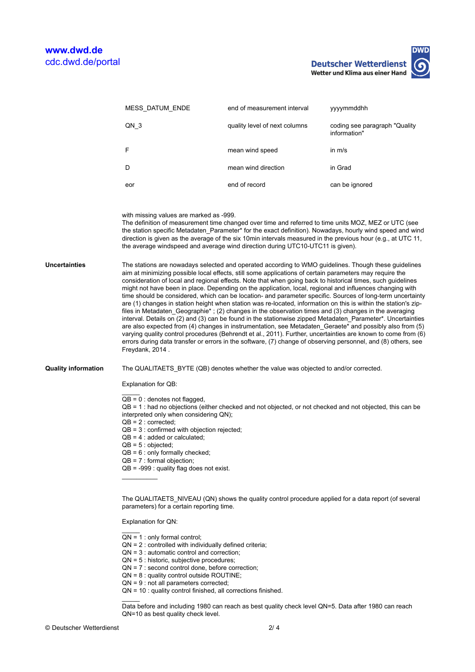**Deutscher Wetterdienst** Wetter und Klima aus einer Hand

| <b>MESS DATUM ENDE</b> | end of measurement interval   | yyyymmddhh                                     |
|------------------------|-------------------------------|------------------------------------------------|
| QN 3                   | quality level of next columns | coding see paragraph "Quality"<br>information" |
| F                      | mean wind speed               | in $m/s$                                       |
| D                      | mean wind direction           | in Grad                                        |
| eor                    | end of record                 | can be ignored                                 |

with missing values are marked as -999.

The definition of measurement time changed over time and referred to time units MOZ, MEZ or UTC (see the station specific Metadaten Parameter\* for the exact definition). Nowadays, hourly wind speed and wind direction is given as the average of the six 10min intervals measured in the previous hour (e.g., at UTC 11, the average windspeed and average wind direction during UTC10-UTC11 is given).

**Uncertainties** The stations are nowadays selected and operated according to WMO guidelines. Though these guidelines aim at minimizing possible local effects, still some applications of certain parameters may require the consideration of local and regional effects. Note that when going back to historical times, such guidelines might not have been in place. Depending on the application, local, regional and influences changing with time should be considered, which can be location- and parameter specific. Sources of long-term uncertainty are (1) changes in station height when station was re-located, information on this is within the station's zipfiles in Metadaten Geographie\* ; (2) changes in the observation times and (3) changes in the averaging interval. Details on (2) and (3) can be found in the stationwise zipped Metadaten\_Parameter\*. Uncertainties are also expected from (4) changes in instrumentation, see Metadaten\_Geraete\* and possibly also from (5) varying quality control procedures (Behrendt et al., 2011). Further, uncertainties are known to come from (6) errors during data transfer or errors in the software, (7) change of observing personnel, and (8) others, see Freydank, 2014 .

**Quality information** The QUALITAETS\_BYTE (QB) denotes whether the value was objected to and/or corrected.

Explanation for QB:

 $\overline{\phantom{a}}$ 

 $\overline{OB} = 0$  : denotes not flagged.

QB = 1 : had no objections (either checked and not objected, or not checked and not objected, this can be interpreted only when considering QN);

- $QB = 2 :$  corrected;
- QB = 3 : confirmed with objection rejected;
- $QB = 4:$  added or calculated;
- $QB = 5 : objected;$

 $\overline{\phantom{a}}$ 

 $\overline{\phantom{a}}$ 

- QB = 6 : only formally checked;
- $QB = 7$  : formal objection;
- $QB = -999$ : quality flag does not exist.

The QUALITAETS\_NIVEAU (QN) shows the quality control procedure applied for a data report (of several parameters) for a certain reporting time.

Explanation for QN:

- $\overline{\phantom{a}}$  $QN = 1$ : only formal control;
- $QN = 2$ : controlled with individually defined criteria:
- QN = 3 : automatic control and correction;
- QN = 5 : historic, subjective procedures;
- QN = 7 : second control done, before correction;
- QN = 8 : quality control outside ROUTINE;
- QN = 9 : not all parameters corrected;
- QN = 10 : quality control finished, all corrections finished.

Data before and including 1980 can reach as best quality check level QN=5. Data after 1980 can reach QN=10 as best quality check level.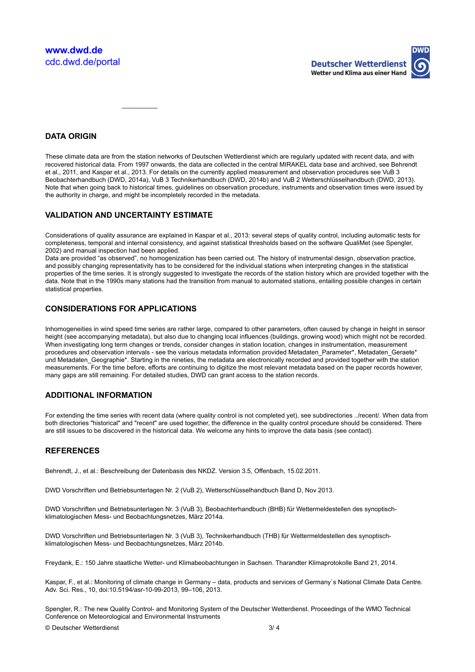

## **DATA ORIGIN**

These climate data are from the station networks of Deutschen Wetterdienst which are regularly updated with recent data, and with recovered historical data. From 1997 onwards, the data are collected in the central MIRAKEL data base and archived, see Behrendt et al., 2011, and Kaspar et al., 2013. For details on the currently applied measurement and observation procedures see VuB 3 Beobachterhandbuch (DWD, 2014a), VuB 3 Technikerhandbuch (DWD, 2014b) and VuB 2 Wetterschlüsselhandbuch (DWD, 2013). Note that when going back to historical times, guidelines on observation procedure, instruments and observation times were issued by the authority in charge, and might be incompletely recorded in the metadata.

#### **VALIDATION AND UNCERTAINTY ESTIMATE**

 $\overline{\phantom{a}}$ 

Considerations of quality assurance are explained in Kaspar et al., 2013: several steps of quality control, including automatic tests for completeness, temporal and internal consistency, and against statistical thresholds based on the software QualiMet (see Spengler, 2002) and manual inspection had been applied.

Data are provided "as observed", no homogenization has been carried out. The history of instrumental design, observation practice, and possibly changing representativity has to be considered for the individual stations when interpreting changes in the statistical properties of the time series. It is strongly suggested to investigate the records of the station history which are provided together with the data. Note that in the 1990s many stations had the transition from manual to automated stations, entailing possible changes in certain statistical properties.

#### **CONSIDERATIONS FOR APPLICATIONS**

Inhomogeneities in wind speed time series are rather large, compared to other parameters, often caused by change in height in sensor height (see accompanying metadata), but also due to changing local influences (buildings, growing wood) which might not be recorded. When investigating long term changes or trends, consider changes in station location, changes in instrumentation, measurement procedures and observation intervals - see the various metadata information provided Metadaten Parameter\*, Metadaten Geraete\* und Metadaten\_Geographie\*. Starting in the nineties, the metadata are electronically recorded and provided together with the station measurements. For the time before, efforts are continuing to digitize the most relevant metadata based on the paper records however, many gaps are still remaining. For detailed studies, DWD can grant access to the station records.

#### **ADDITIONAL INFORMATION**

For extending the time series with recent data (where quality control is not completed yet), see subdirectories ../recent/. When data from both directories "historical" and "recent" are used together, the difference in the quality control procedure should be considered. There are still issues to be discovered in the historical data. We welcome any hints to improve the data basis (see contact).

#### **REFERENCES**

Behrendt, J., et al.: Beschreibung der Datenbasis des NKDZ. Version 3.5, Offenbach, 15.02.2011.

DWD Vorschriften und Betriebsunterlagen Nr. 2 (VuB 2), Wetterschlüsselhandbuch Band D, Nov 2013.

DWD Vorschriften und Betriebsunterlagen Nr. 3 (VuB 3), Beobachterhandbuch (BHB) für Wettermeldestellen des synoptischklimatologischen Mess- und Beobachtungsnetzes, März 2014a.

DWD Vorschriften und Betriebsunterlagen Nr. 3 (VuB 3), Technikerhandbuch (THB) für Wettermeldestellen des synoptischklimatologischen Mess- und Beobachtungsnetzes, März 2014b.

Freydank, E.: 150 Jahre staatliche Wetter- und Klimabeobachtungen in Sachsen. Tharandter Klimaprotokolle Band 21, 2014.

Kaspar, F., et al.: Monitoring of climate change in Germany – data, products and services of Germany`s National Climate Data Centre. Adv. Sci. Res., 10, doi:10.5194/asr-10-99-2013, 99–106, 2013.

Spengler, R.: The new Quality Control- and Monitoring System of the Deutscher Wetterdienst. Proceedings of the WMO Technical Conference on Meteorological and Environmental Instruments